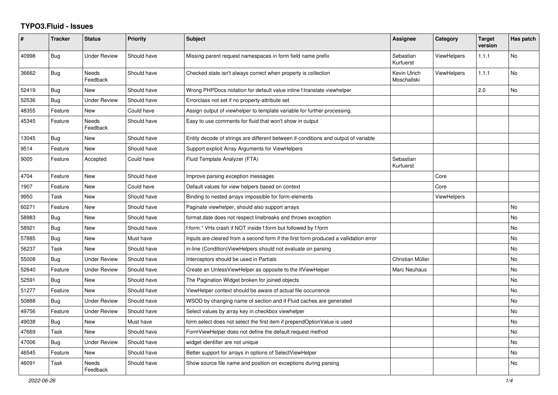## **TYPO3.Fluid - Issues**

| $\#$  | <b>Tracker</b> | <b>Status</b>            | <b>Priority</b> | <b>Subject</b>                                                                       | Assignee                    | Category           | <b>Target</b><br>version | Has patch |
|-------|----------------|--------------------------|-----------------|--------------------------------------------------------------------------------------|-----------------------------|--------------------|--------------------------|-----------|
| 40998 | Bug            | Under Review             | Should have     | Missing parent request namespaces in form field name prefix                          | Sebastian<br>Kurfuerst      | <b>ViewHelpers</b> | 1.1.1                    | <b>No</b> |
| 36662 | <b>Bug</b>     | Needs<br>Feedback        | Should have     | Checked state isn't always correct when property is collection                       | Kevin Ulrich<br>Moschallski | <b>ViewHelpers</b> | 1.1.1                    | <b>No</b> |
| 52419 | <b>Bug</b>     | New                      | Should have     | Wrong PHPDocs notation for default value inline f:translate viewhelper               |                             |                    | 2.0                      | <b>No</b> |
| 52536 | <b>Bug</b>     | <b>Under Review</b>      | Should have     | Errorclass not set if no property-attribute set                                      |                             |                    |                          |           |
| 48355 | Feature        | New                      | Could have      | Assign output of viewhelper to template variable for further processing.             |                             |                    |                          |           |
| 45345 | Feature        | <b>Needs</b><br>Feedback | Should have     | Easy to use comments for fluid that won't show in output                             |                             |                    |                          |           |
| 13045 | <b>Bug</b>     | New                      | Should have     | Entity decode of strings are different between if-conditions and output of variable  |                             |                    |                          |           |
| 9514  | Feature        | <b>New</b>               | Should have     | Support explicit Array Arguments for ViewHelpers                                     |                             |                    |                          |           |
| 9005  | Feature        | Accepted                 | Could have      | Fluid Template Analyzer (FTA)                                                        | Sebastian<br>Kurfuerst      |                    |                          |           |
| 4704  | Feature        | New                      | Should have     | Improve parsing exception messages                                                   |                             | Core               |                          |           |
| 1907  | Feature        | New                      | Could have      | Default values for view helpers based on context                                     |                             | Core               |                          |           |
| 9950  | Task           | New                      | Should have     | Binding to nested arrays impossible for form-elements                                |                             | ViewHelpers        |                          |           |
| 60271 | Feature        | New                      | Should have     | Paginate viewhelper, should also support arrays                                      |                             |                    |                          | No        |
| 58983 | Bug            | New                      | Should have     | format.date does not respect linebreaks and throws exception                         |                             |                    |                          | No        |
| 58921 | Bug            | New                      | Should have     | f:form.* VHs crash if NOT inside f:form but followed by f:form                       |                             |                    |                          | <b>No</b> |
| 57885 | Bug            | <b>New</b>               | Must have       | Inputs are cleared from a second form if the first form produced a vallidation error |                             |                    |                          | <b>No</b> |
| 56237 | Task           | New                      | Should have     | in-line (Condition)ViewHelpers should not evaluate on parsing                        |                             |                    |                          | <b>No</b> |
| 55008 | <b>Bug</b>     | <b>Under Review</b>      | Should have     | Interceptors should be used in Partials                                              | Christian Müller            |                    |                          | <b>No</b> |
| 52640 | Feature        | Under Review             | Should have     | Create an UnlessViewHelper as opposite to the IfViewHelper                           | Marc Neuhaus                |                    |                          | No        |
| 52591 | Bug            | New                      | Should have     | The Pagination Widget broken for joined objects                                      |                             |                    |                          | No        |
| 51277 | Feature        | <b>New</b>               | Should have     | ViewHelper context should be aware of actual file occurrence                         |                             |                    |                          | No        |
| 50888 | <b>Bug</b>     | <b>Under Review</b>      | Should have     | WSOD by changing name of section and if Fluid caches are generated                   |                             |                    |                          | <b>No</b> |
| 49756 | Feature        | <b>Under Review</b>      | Should have     | Select values by array key in checkbox viewhelper                                    |                             |                    |                          | <b>No</b> |
| 49038 | Bug            | New                      | Must have       | form.select does not select the first item if prependOptionValue is used             |                             |                    |                          | <b>No</b> |
| 47669 | Task           | <b>New</b>               | Should have     | FormViewHelper does not define the default request method                            |                             |                    |                          | <b>No</b> |
| 47006 | Bug            | Under Review             | Should have     | widget identifier are not unique                                                     |                             |                    |                          | No        |
| 46545 | Feature        | New                      | Should have     | Better support for arrays in options of SelectViewHelper                             |                             |                    |                          | No        |
| 46091 | Task           | Needs<br>Feedback        | Should have     | Show source file name and position on exceptions during parsing                      |                             |                    |                          | No        |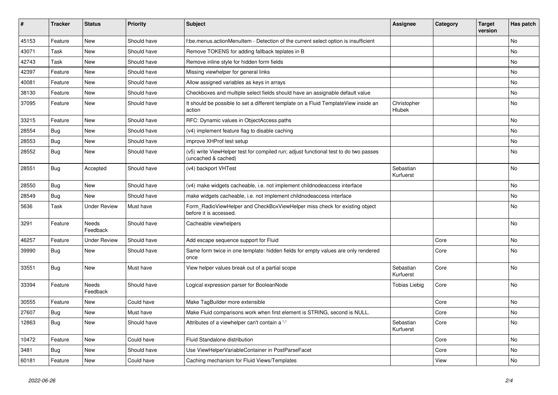| $\vert$ # | <b>Tracker</b> | <b>Status</b>       | <b>Priority</b> | <b>Subject</b>                                                                                              | Assignee               | Category | <b>Target</b><br>version | Has patch |
|-----------|----------------|---------------------|-----------------|-------------------------------------------------------------------------------------------------------------|------------------------|----------|--------------------------|-----------|
| 45153     | Feature        | <b>New</b>          | Should have     | f:be.menus.actionMenuItem - Detection of the current select option is insufficient                          |                        |          |                          | <b>No</b> |
| 43071     | Task           | New                 | Should have     | Remove TOKENS for adding fallback teplates in B                                                             |                        |          |                          | No        |
| 42743     | Task           | New                 | Should have     | Remove inline style for hidden form fields                                                                  |                        |          |                          | No        |
| 42397     | Feature        | New                 | Should have     | Missing viewhelper for general links                                                                        |                        |          |                          | No        |
| 40081     | Feature        | New                 | Should have     | Allow assigned variables as keys in arrays                                                                  |                        |          |                          | No        |
| 38130     | Feature        | New                 | Should have     | Checkboxes and multiple select fields should have an assignable default value                               |                        |          |                          | <b>No</b> |
| 37095     | Feature        | <b>New</b>          | Should have     | It should be possible to set a different template on a Fluid TemplateView inside an<br>action               | Christopher<br>Hlubek  |          |                          | No        |
| 33215     | Feature        | New                 | Should have     | RFC: Dynamic values in ObjectAccess paths                                                                   |                        |          |                          | <b>No</b> |
| 28554     | Bug            | New                 | Should have     | (v4) implement feature flag to disable caching                                                              |                        |          |                          | No        |
| 28553     | Bug            | New                 | Should have     | improve XHProf test setup                                                                                   |                        |          |                          | No        |
| 28552     | <b>Bug</b>     | <b>New</b>          | Should have     | (v5) write ViewHelper test for compiled run; adjust functional test to do two passes<br>(uncached & cached) |                        |          |                          | No        |
| 28551     | <b>Bug</b>     | Accepted            | Should have     | (v4) backport VHTest                                                                                        | Sebastian<br>Kurfuerst |          |                          | No        |
| 28550     | <b>Bug</b>     | New                 | Should have     | (v4) make widgets cacheable, i.e. not implement childnodeaccess interface                                   |                        |          |                          | <b>No</b> |
| 28549     | Bug            | New                 | Should have     | make widgets cacheable, i.e. not implement childnodeaccess interface                                        |                        |          |                          | No        |
| 5636      | Task           | <b>Under Review</b> | Must have       | Form RadioViewHelper and CheckBoxViewHelper miss check for existing object<br>before it is accessed.        |                        |          |                          | <b>No</b> |
| 3291      | Feature        | Needs<br>Feedback   | Should have     | Cacheable viewhelpers                                                                                       |                        |          |                          | No        |
| 46257     | Feature        | <b>Under Review</b> | Should have     | Add escape sequence support for Fluid                                                                       |                        | Core     |                          | <b>No</b> |
| 39990     | Bug            | New                 | Should have     | Same form twice in one template: hidden fields for empty values are only rendered<br>once                   |                        | Core     |                          | <b>No</b> |
| 33551     | <b>Bug</b>     | <b>New</b>          | Must have       | View helper values break out of a partial scope                                                             | Sebastian<br>Kurfuerst | Core     |                          | <b>No</b> |
| 33394     | Feature        | Needs<br>Feedback   | Should have     | Logical expression parser for BooleanNode                                                                   | Tobias Liebig          | Core     |                          | No        |
| 30555     | Feature        | New                 | Could have      | Make TagBuilder more extensible                                                                             |                        | Core     |                          | <b>No</b> |
| 27607     | Bug            | New                 | Must have       | Make Fluid comparisons work when first element is STRING, second is NULL.                                   |                        | Core     |                          | <b>No</b> |
| 12863     | Bug            | New                 | Should have     | Attributes of a viewhelper can't contain a '-'                                                              | Sebastian<br>Kurfuerst | Core     |                          | <b>No</b> |
| 10472     | Feature        | New                 | Could have      | Fluid Standalone distribution                                                                               |                        | Core     |                          | <b>No</b> |
| 3481      | <b>Bug</b>     | <b>New</b>          | Should have     | Use ViewHelperVariableContainer in PostParseFacet                                                           |                        | Core     |                          | <b>No</b> |
| 60181     | Feature        | New                 | Could have      | Caching mechanism for Fluid Views/Templates                                                                 |                        | View     |                          | <b>No</b> |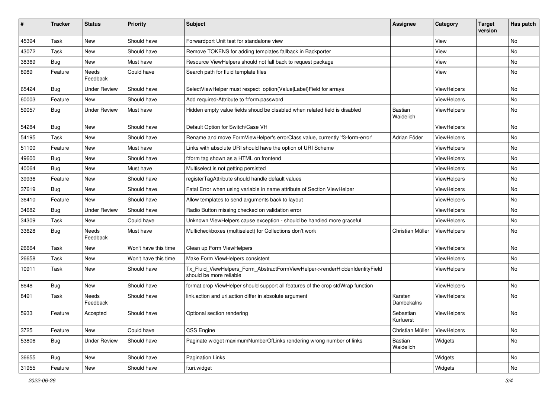| ∦     | <b>Tracker</b> | <b>Status</b>       | <b>Priority</b>      | <b>Subject</b>                                                                                         | <b>Assignee</b>             | Category    | <b>Target</b><br>version | Has patch |
|-------|----------------|---------------------|----------------------|--------------------------------------------------------------------------------------------------------|-----------------------------|-------------|--------------------------|-----------|
| 45394 | Task           | New                 | Should have          | Forwardport Unit test for standalone view                                                              |                             | View        |                          | No        |
| 43072 | Task           | New                 | Should have          | Remove TOKENS for adding templates fallback in Backporter                                              |                             | View        |                          | No        |
| 38369 | <b>Bug</b>     | New                 | Must have            | Resource ViewHelpers should not fall back to request package                                           |                             | View        |                          | No        |
| 8989  | Feature        | Needs<br>Feedback   | Could have           | Search path for fluid template files                                                                   |                             | View        |                          | No        |
| 65424 | Bug            | <b>Under Review</b> | Should have          | SelectViewHelper must respect option(Value Label)Field for arrays                                      |                             | ViewHelpers |                          | No        |
| 60003 | Feature        | New                 | Should have          | Add required-Attribute to f:form.password                                                              |                             | ViewHelpers |                          | No        |
| 59057 | <b>Bug</b>     | <b>Under Review</b> | Must have            | Hidden empty value fields shoud be disabled when related field is disabled                             | <b>Bastian</b><br>Waidelich | ViewHelpers |                          | No        |
| 54284 | Bug            | New                 | Should have          | Default Option for Switch/Case VH                                                                      |                             | ViewHelpers |                          | No        |
| 54195 | Task           | New                 | Should have          | Rename and move FormViewHelper's errorClass value, currently 'f3-form-error'                           | Adrian Föder                | ViewHelpers |                          | No        |
| 51100 | Feature        | New                 | Must have            | Links with absolute URI should have the option of URI Scheme                                           |                             | ViewHelpers |                          | No        |
| 49600 | Bug            | New                 | Should have          | f:form tag shown as a HTML on frontend                                                                 |                             | ViewHelpers |                          | No        |
| 40064 | <b>Bug</b>     | <b>New</b>          | Must have            | Multiselect is not getting persisted                                                                   |                             | ViewHelpers |                          | No.       |
| 39936 | Feature        | New                 | Should have          | registerTagAttribute should handle default values                                                      |                             | ViewHelpers |                          | No        |
| 37619 | Bug            | New                 | Should have          | Fatal Error when using variable in name attribute of Section ViewHelper                                |                             | ViewHelpers |                          | No        |
| 36410 | Feature        | <b>New</b>          | Should have          | Allow templates to send arguments back to layout                                                       |                             | ViewHelpers |                          | No        |
| 34682 | <b>Bug</b>     | <b>Under Review</b> | Should have          | Radio Button missing checked on validation error                                                       |                             | ViewHelpers |                          | No        |
| 34309 | Task           | New                 | Could have           | Unknown ViewHelpers cause exception - should be handled more graceful                                  |                             | ViewHelpers |                          | No        |
| 33628 | Bug            | Needs<br>Feedback   | Must have            | Multicheckboxes (multiselect) for Collections don't work                                               | Christian Müller            | ViewHelpers |                          | No        |
| 26664 | Task           | New                 | Won't have this time | Clean up Form ViewHelpers                                                                              |                             | ViewHelpers |                          | No        |
| 26658 | Task           | New                 | Won't have this time | Make Form ViewHelpers consistent                                                                       |                             | ViewHelpers |                          | No        |
| 10911 | Task           | New                 | Should have          | Tx_Fluid_ViewHelpers_Form_AbstractFormViewHelper->renderHiddenIdentityField<br>should be more reliable |                             | ViewHelpers |                          | No        |
| 8648  | Bug            | New                 | Should have          | format.crop ViewHelper should support all features of the crop stdWrap function                        |                             | ViewHelpers |                          | No        |
| 8491  | Task           | Needs<br>Feedback   | Should have          | link.action and uri.action differ in absolute argument                                                 | Karsten<br>Dambekalns       | ViewHelpers |                          | No        |
| 5933  | Feature        | Accepted            | Should have          | Optional section rendering                                                                             | Sebastian<br>Kurfuerst      | ViewHelpers |                          | No        |
| 3725  | Feature        | New                 | Could have           | CSS Engine                                                                                             | Christian Müller            | ViewHelpers |                          | No        |
| 53806 | Bug            | <b>Under Review</b> | Should have          | Paginate widget maximumNumberOfLinks rendering wrong number of links                                   | Bastian<br>Waidelich        | Widgets     |                          | No        |
| 36655 | Bug            | New                 | Should have          | Pagination Links                                                                                       |                             | Widgets     |                          | No        |
| 31955 | Feature        | New                 | Should have          | f:uri.widget                                                                                           |                             | Widgets     |                          | No        |